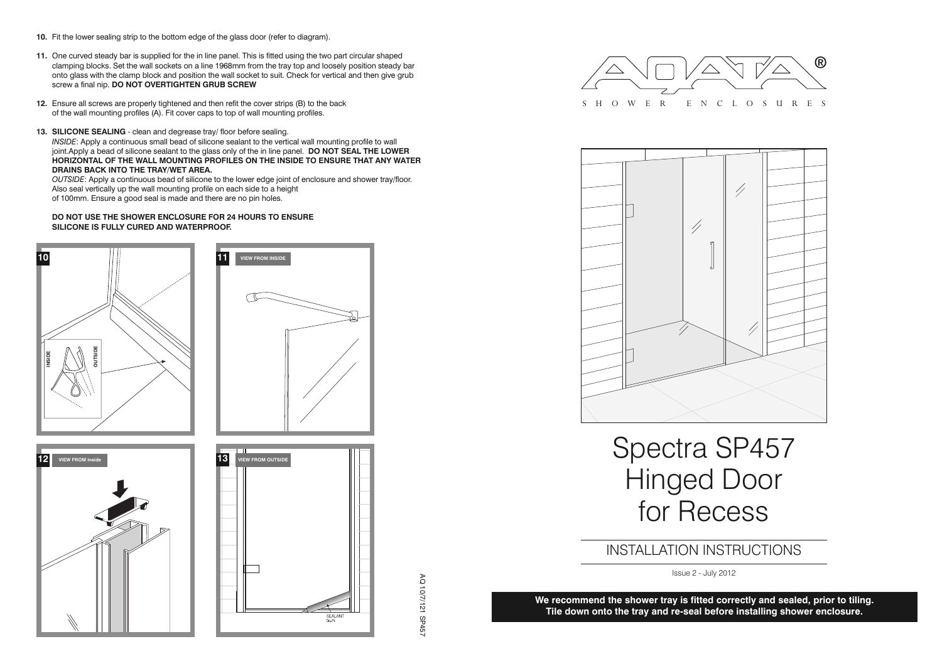AQ 10/7/121 SP457 AQ 10/7/121 SP457

- **10.** Fit the lower sealing strip to the bottom edge of the glass door (refer to diagram).
- **11.** One curved steady bar is supplied for the in line panel. This is fitted using the two part circular shaped clamping blocks. Set the wall sockets on a line 1968mm from the tray top and loosely position steady bar onto glass with the clamp block and position the wall socket to suit. Check for vertical and then give grub screw a final nip. **DO NOT OVERTIGHTEN GRUB SCREW**
- **12.** Ensure all screws are properly tightened and then refit the cover strips (B) to the back of the wall mounting profiles (A). Fit cover caps to top of wall mounting profiles.
- **13. SILICONE SEALING** clean and degrease tray/ floor before sealing.

*INSIDE*: Apply a continuous small bead of silicone sealant to the vertical wall mounting profile to wall joint.Apply a bead of silicone sealant to the glass only of the in line panel. **DO NOT SEAL THE LOWER HORIZONTAL OF THE WALL MOUNTING PROFILES ON THE INSIDE TO ENSURE THAT ANY WATER DRAINS BACK INTO THE TRAY/WET AREA.**

*OUTSIDE*: Apply a continuous bead of silicone to the lower edge joint of enclosure and shower tray/floor. Also seal vertically up the wall mounting profile on each side to a height of 100mm. Ensure a good seal is made and there are no pin holes.

**DO NOT USE THE SHOWER ENCLOSURE FOR 24 HOURS TO ENSURE SILICONE IS FULLY CURED AND WATERPROOF.**









Spectra SP457 Hinged Door for Recess

# INSTALLATION INSTRUCTIONS

Issue 2 - July 2012

**We recommend the shower tray is fitted correctly and sealed, prior to tiling. Tile down onto the tray and re-seal before installing shower enclosure.**